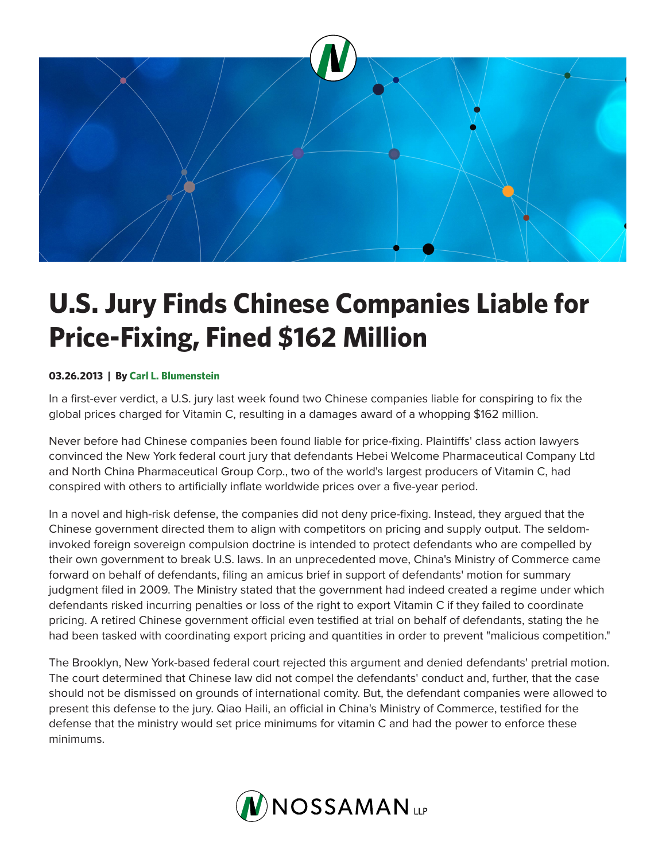

## **U.S. Jury Finds Chinese Companies Liable for Price-Fixing, Fined \$162 Million**

## **03.26.2013 | By Carl L. Blumenstein**

In a first-ever verdict, a U.S. jury last week found two Chinese companies liable for conspiring to fix the global prices charged for Vitamin C, resulting in a damages award of a whopping \$162 million.

Never before had Chinese companies been found liable for price-fixing. Plaintiffs' class action lawyers convinced the New York federal court jury that defendants Hebei Welcome Pharmaceutical Company Ltd and North China Pharmaceutical Group Corp., two of the world's largest producers of Vitamin C, had conspired with others to artificially inflate worldwide prices over a five-year period.

In a novel and high-risk defense, the companies did not deny price-fixing. Instead, they argued that the Chinese government directed them to align with competitors on pricing and supply output. The seldominvoked foreign sovereign compulsion doctrine is intended to protect defendants who are compelled by their own government to break U.S. laws. In an unprecedented move, China's Ministry of Commerce came forward on behalf of defendants, filing an amicus brief in support of defendants' motion for summary judgment filed in 2009. The Ministry stated that the government had indeed created a regime under which defendants risked incurring penalties or loss of the right to export Vitamin C if they failed to coordinate pricing. A retired Chinese government official even testified at trial on behalf of defendants, stating the he had been tasked with coordinating export pricing and quantities in order to prevent "malicious competition."

The Brooklyn, New York-based federal court rejected this argument and denied defendants' pretrial motion. The court determined that Chinese law did not compel the defendants' conduct and, further, that the case should not be dismissed on grounds of international comity. But, the defendant companies were allowed to present this defense to the jury. Qiao Haili, an official in China's Ministry of Commerce, testified for the defense that the ministry would set price minimums for vitamin C and had the power to enforce these minimums.